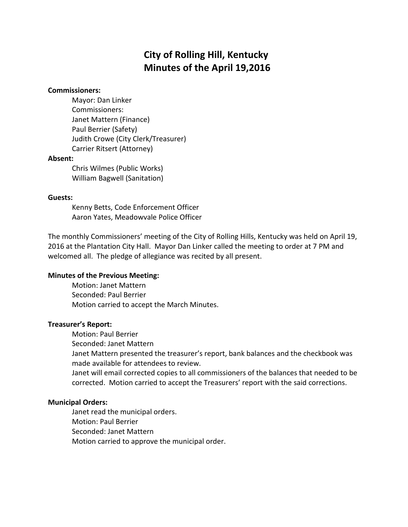# **City of Rolling Hill, Kentucky Minutes of the April 19,2016**

#### **Commissioners:**

Mayor: Dan Linker Commissioners: Janet Mattern (Finance) Paul Berrier (Safety) Judith Crowe (City Clerk/Treasurer) Carrier Ritsert (Attorney)

#### **Absent:**

Chris Wilmes (Public Works) William Bagwell (Sanitation)

### **Guests:**

Kenny Betts, Code Enforcement Officer Aaron Yates, Meadowvale Police Officer

The monthly Commissioners' meeting of the City of Rolling Hills, Kentucky was held on April 19, 2016 at the Plantation City Hall. Mayor Dan Linker called the meeting to order at 7 PM and welcomed all. The pledge of allegiance was recited by all present.

### **Minutes of the Previous Meeting:**

Motion: Janet Mattern Seconded: Paul Berrier Motion carried to accept the March Minutes.

### **Treasurer's Report:**

Motion: Paul Berrier

Seconded: Janet Mattern

Janet Mattern presented the treasurer's report, bank balances and the checkbook was made available for attendees to review.

Janet will email corrected copies to all commissioners of the balances that needed to be corrected. Motion carried to accept the Treasurers' report with the said corrections.

### **Municipal Orders:**

Janet read the municipal orders. Motion: Paul Berrier Seconded: Janet Mattern Motion carried to approve the municipal order.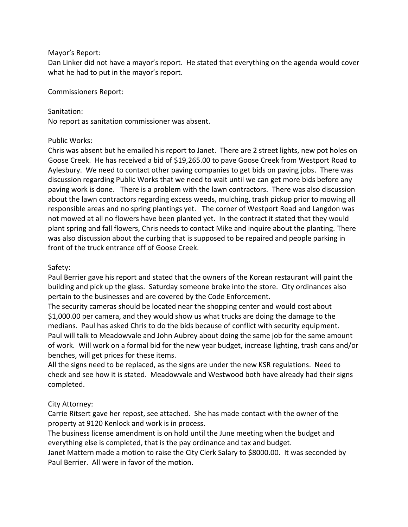### Mayor's Report:

Dan Linker did not have a mayor's report. He stated that everything on the agenda would cover what he had to put in the mayor's report.

Commissioners Report:

## Sanitation:

No report as sanitation commissioner was absent.

## Public Works:

Chris was absent but he emailed his report to Janet. There are 2 street lights, new pot holes on Goose Creek. He has received a bid of \$19,265.00 to pave Goose Creek from Westport Road to Aylesbury. We need to contact other paving companies to get bids on paving jobs. There was discussion regarding Public Works that we need to wait until we can get more bids before any paving work is done. There is a problem with the lawn contractors. There was also discussion about the lawn contractors regarding excess weeds, mulching, trash pickup prior to mowing all responsible areas and no spring plantings yet. The corner of Westport Road and Langdon was not mowed at all no flowers have been planted yet. In the contract it stated that they would plant spring and fall flowers, Chris needs to contact Mike and inquire about the planting. There was also discussion about the curbing that is supposed to be repaired and people parking in front of the truck entrance off of Goose Creek.

## Safety:

Paul Berrier gave his report and stated that the owners of the Korean restaurant will paint the building and pick up the glass. Saturday someone broke into the store. City ordinances also pertain to the businesses and are covered by the Code Enforcement.

The security cameras should be located near the shopping center and would cost about \$1,000.00 per camera, and they would show us what trucks are doing the damage to the medians. Paul has asked Chris to do the bids because of conflict with security equipment. Paul will talk to Meadowvale and John Aubrey about doing the same job for the same amount of work. Will work on a formal bid for the new year budget, increase lighting, trash cans and/or benches, will get prices for these items.

All the signs need to be replaced, as the signs are under the new KSR regulations. Need to check and see how it is stated. Meadowvale and Westwood both have already had their signs completed.

# City Attorney:

Carrie Ritsert gave her repost, see attached. She has made contact with the owner of the property at 9120 Kenlock and work is in process.

The business license amendment is on hold until the June meeting when the budget and everything else is completed, that is the pay ordinance and tax and budget.

Janet Mattern made a motion to raise the City Clerk Salary to \$8000.00. It was seconded by Paul Berrier. All were in favor of the motion.